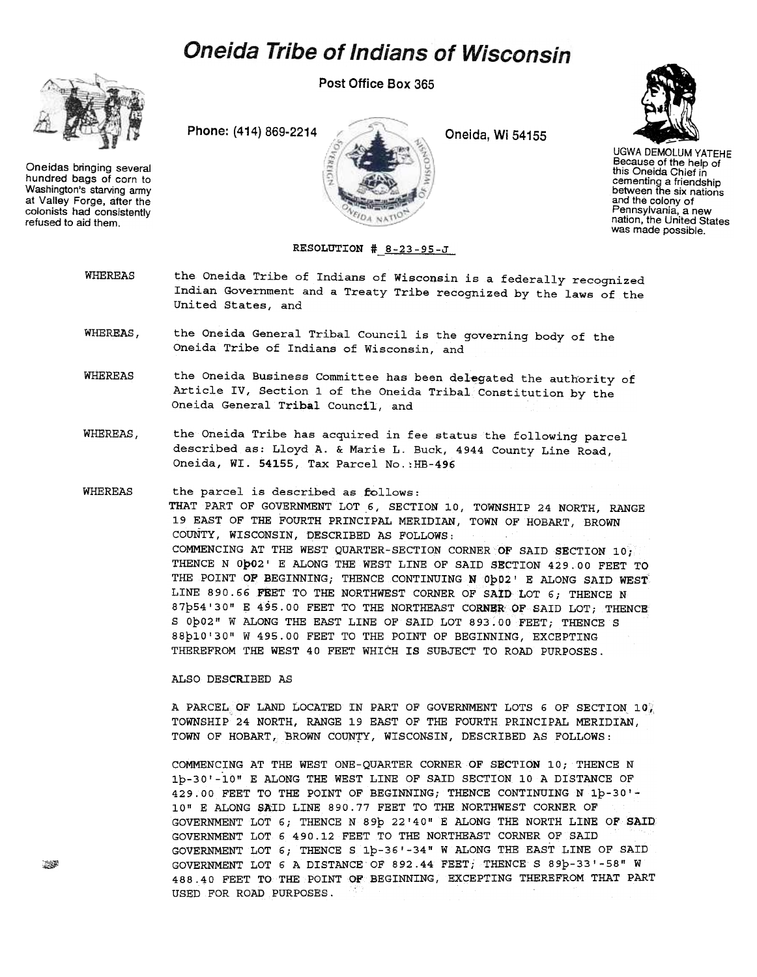## **Oneida Tribe of Indians of Wisconsin**

Post Office Box 365

Oneidas bringing several hundred bags of corn to Washington's starving army at Valley Forge, after the colonists had consistently refused to aid them.

Phone: (414) 869-2214 Cheida, Wi 54155





UGWA DEMOLUM YATEHE Because of the help of this Oneida Chief in cementing a friendship between the six nations and the colony of Pennsylvania, a new nation, the United States was made possible.

RESOLUTION #\_8-23-95-J

- WHEREAS the Oneida Tribe of Indians of Wisconsin is a federally recognized Indian Government and a Treaty Tribe recognized by the laws of the United States, and
- WHEREAS. the Oneida General Tribal Council is the governing body of the Oneida Tribe of Indians of Wisconsin, and
- WHEREAS the Oneida Business Committee has been delegated the authority of Article IV, Section 1 of the Oneida Tribal Constitution by the Oneida General Tribal Council, and
- WHEREAS, the Oneida Tribe has acquired in fee status the following parcel described as: Lloyd A. & Marie L. Buck, 4944 County Line Road, Oneida, WI. 54155, Tax Parcel No.:HB-496
- WHEREAS the parcel is described as follows: THAT PART OF GOVERNMENT LOT 6, SECTION 10, TOWNSHIP 24 NORTH, RANGE 19 EAST OF THE FOURTH PRINCIPAL MERIDIAN, TOWN OF HOBART, BROWN COuNTY, WISCONSIN, DESCRIBED AS FOLLOWS: COMMENCING AT THE WEST QUARTER-SECTION CORNER Or SAID SECTION 10; THENCE N Opo2' E ALONG THE WEST LINE OF SAID SECTION 429.00 FEET TO THE POINT OF BEGINNING; THENCE CONTINUING N Ob02' E ALONG SAID WEST LINE 890.66 FEET TO THE NORTHWEST CORNER OF SAID LOT 6; THENCE N 87b54'30" E 495.00 FEET TO THE NORTHEAST CORNER OF SAID LOT; THENCE S Op02" W ALONG THE EAST LINE OF SAID LOT 893.00 FEET; THENCE S 88b10'30" W 495.00 FEET TO THE POINT OF BEGINNING, EXCEPTING THEREFROM THE WEST 40 FEET WHICH IS SUBJECT TO ROAD PURPOSES.

ALSO DESCRIBED AS

A PARCEL OF LAND LOCATED IN PART OF GOVERNMENT LOTS 6 OF SECTION  $10^{\circ}$ TOWNSHIP 24 NORTH, RANGE 19 EAST OF THE FOURTH PRINCIPAL MERIDIAN, TOWN OF HOBART, BROWN COUNTY, WISCONSIN, DESCRIBED AS FOLLOWS:

COMMENCING AT THE WEST ONE-QUARTER CORNER OF SECTION 10; THENCE N 1p-30'-10" E ALONG THE WEST LINE OF SAID SECTION 10 A DISTANCE OF 429.00 FEET TO THE POINT OF BEGINNING; THENCE CONTINUING N 1p-30'- 10" E ALONG SAID LINE 890.77 FEET TO THE NORTHWEST CORNER OF - GOVERNMENT LOT 6; THENCE N 89p 22' 40" E ALONG THE NORTH LINE OF SAID GOVERNMENT LOT 6 490.12 FEET TO THE NORTHEAST CORNER OF SAID GOVERNMENT LOT 6; THENCE S 1p-36'-34" WALONG THE EAST LINE OF SAID GOVERNMENT LOT 6 A DISTANCE OF 892.44 FEET; THENCE S 89p-33'-58" W 488.40 FEET TO THE POINT Of BEGINNING, EXCEPTING THEREFROM THAT PART USED FOR ROAD PURPOSES.